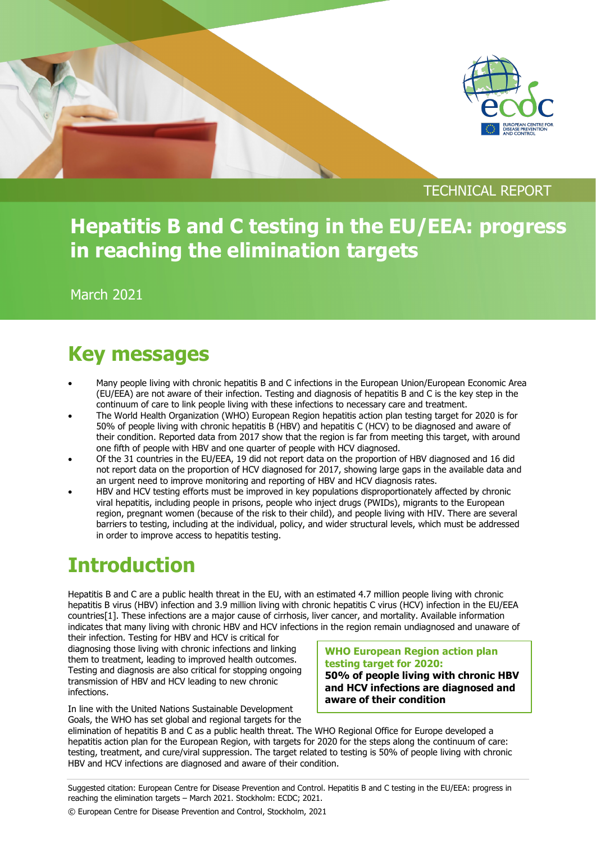



TECHNICAL REPORT

# **Hepatitis B and C testing in the EU/EEA: progress in reaching the elimination targets**

March 2021

# **Key messages**

- Many people living with chronic hepatitis B and C infections in the European Union/European Economic Area (EU/EEA) are not aware of their infection. Testing and diagnosis of hepatitis B and C is the key step in the continuum of care to link people living with these infections to necessary care and treatment.
- The World Health Organization (WHO) European Region hepatitis action plan testing target for 2020 is for 50% of people living with chronic hepatitis B (HBV) and hepatitis C (HCV) to be diagnosed and aware of their condition. Reported data from 2017 show that the region is far from meeting this target, with around one fifth of people with HBV and one quarter of people with HCV diagnosed.
- Of the 31 countries in the EU/EEA, 19 did not report data on the proportion of HBV diagnosed and 16 did not report data on the proportion of HCV diagnosed for 2017, showing large gaps in the available data and an urgent need to improve monitoring and reporting of HBV and HCV diagnosis rates.
- HBV and HCV testing efforts must be improved in key populations disproportionately affected by chronic viral hepatitis, including people in prisons, people who inject drugs (PWIDs), migrants to the European region, pregnant women (because of the risk to their child), and people living with HIV. There are several barriers to testing, including at the individual, policy, and wider structural levels, which must be addressed in order to improve access to hepatitis testing.

# **Introduction**

Hepatitis B and C are a public health threat in the EU, with an estimated 4.7 million people living with chronic hepatitis B virus (HBV) infection and 3.9 million living with chronic hepatitis C virus (HCV) infection in the EU/EEA countries[1]. These infections are a major cause of cirrhosis, liver cancer, and mortality. Available information indicates that many living with chronic HBV and HCV infections in the region remain undiagnosed and unaware of

their infection. Testing for HBV and HCV is critical for diagnosing those living with chronic infections and linking them to treatment, leading to improved health outcomes. Testing and diagnosis are also critical for stopping ongoing transmission of HBV and HCV leading to new chronic infections.

In line with the United Nations Sustainable Development Goals, the WHO has set global and regional targets for the

**WHO European Region action plan testing target for 2020: 50% of people living with chronic HBV and HCV infections are diagnosed and aware of their condition**

elimination of hepatitis B and C as a public health threat. The WHO Regional Office for Europe developed a hepatitis action plan for the European Region, with targets for 2020 for the steps along the continuum of care: testing, treatment, and cure/viral suppression. The target related to testing is 50% of people living with chronic HBV and HCV infections are diagnosed and aware of their condition.

Suggested citation: European Centre for Disease Prevention and Control. Hepatitis B and C testing in the EU/EEA: progress in reaching the elimination targets – March 2021. Stockholm: ECDC; 2021.

© European Centre for Disease Prevention and Control, Stockholm, 2021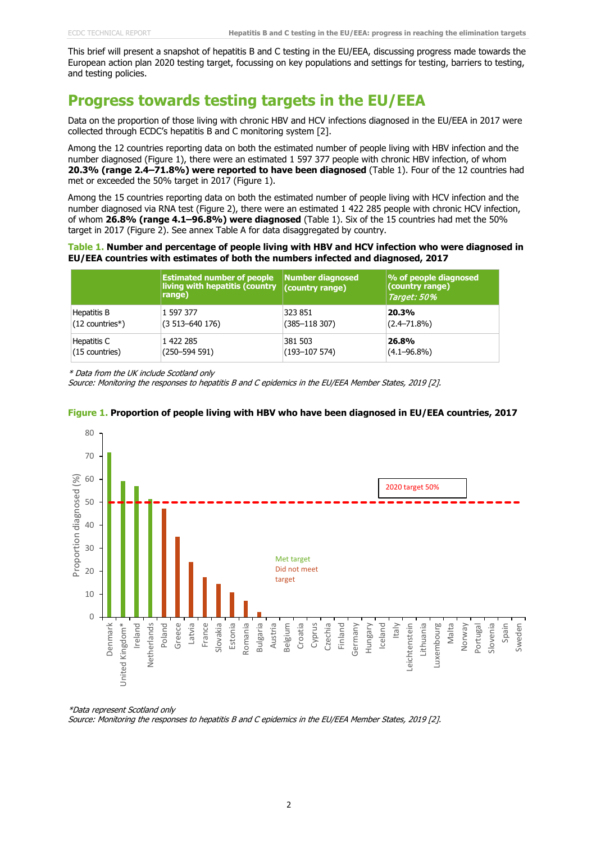This brief will present a snapshot of hepatitis B and C testing in the EU/EEA, discussing progress made towards the European action plan 2020 testing target, focussing on key populations and settings for testing, barriers to testing, and testing policies.

# **Progress towards testing targets in the EU/EEA**

Data on the proportion of those living with chronic HBV and HCV infections diagnosed in the EU/EEA in 2017 were collected through ECDC's hepatitis B and C monitoring system [2].

Among the 12 countries reporting data on both the estimated number of people living with HBV infection and the number diagnosed (Figure 1), there were an estimated 1 597 377 people with chronic HBV infection, of whom **20.3% (range 2.4–71.8%) were reported to have been diagnosed** (Table 1). Four of the 12 countries had met or exceeded the 50% target in 2017 (Figure 1).

Among the 15 countries reporting data on both the estimated number of people living with HCV infection and the number diagnosed via RNA test (Figure 2), there were an estimated 1 422 285 people with chronic HCV infection, of whom **26.8% (range 4.1–96.8%) were diagnosed** (Table 1). Six of the 15 countries had met the 50% target in 2017 (Figure 2). See annex Table A for data disaggregated by country.

#### **Table 1. Number and percentage of people living with HBV and HCV infection who were diagnosed in EU/EEA countries with estimates of both the numbers infected and diagnosed, 2017**

|                                | <b>Estimated number of people</b><br>living with hepatitis (country (country range)<br>range) | Number diagnosed | $\%$ of people diagnosed<br>(country range)<br>Target: 50% |
|--------------------------------|-----------------------------------------------------------------------------------------------|------------------|------------------------------------------------------------|
| Hepatitis B                    | 1 597 377                                                                                     | 323 851          | 20.3%                                                      |
| $(12$ countries <sup>*</sup> ) | $(3513 - 640176)$                                                                             | $(385 - 118307)$ | $(2.4 - 71.8%)$                                            |
| Hepatitis C                    | 1 422 285                                                                                     | 381 503          | 26.8%                                                      |
| $(15$ countries)               | $(250 - 594591)$                                                                              | $(193 - 107574)$ | $(4.1 - 96.8\%)$                                           |

\* Data from the UK include Scotland only

Source: Monitoring the responses to hepatitis B and C epidemics in the EU/EEA Member States, 2019 [2].



#### **Figure 1. Proportion of people living with HBV who have been diagnosed in EU/EEA countries, 2017**

\*Data represent Scotland only Source: Monitoring the responses to hepatitis B and C epidemics in the EU/EEA Member States, 2019 [2].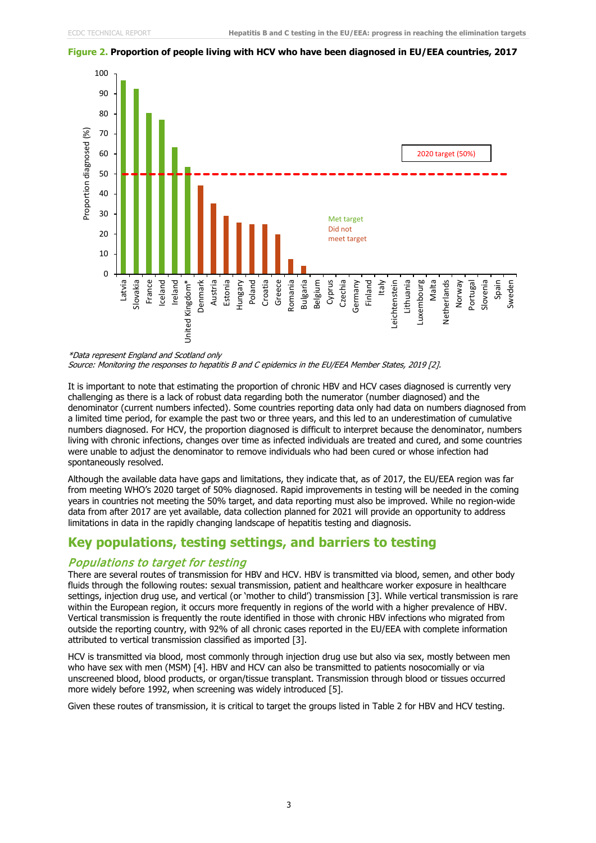

**Figure 2. Proportion of people living with HCV who have been diagnosed in EU/EEA countries, 2017**

It is important to note that estimating the proportion of chronic HBV and HCV cases diagnosed is currently very challenging as there is a lack of robust data regarding both the numerator (number diagnosed) and the denominator (current numbers infected). Some countries reporting data only had data on numbers diagnosed from a limited time period, for example the past two or three years, and this led to an underestimation of cumulative numbers diagnosed. For HCV, the proportion diagnosed is difficult to interpret because the denominator, numbers living with chronic infections, changes over time as infected individuals are treated and cured, and some countries were unable to adjust the denominator to remove individuals who had been cured or whose infection had spontaneously resolved.

Although the available data have gaps and limitations, they indicate that, as of 2017, the EU/EEA region was far from meeting WHO's 2020 target of 50% diagnosed. Rapid improvements in testing will be needed in the coming years in countries not meeting the 50% target, and data reporting must also be improved. While no region-wide data from after 2017 are yet available, data collection planned for 2021 will provide an opportunity to address limitations in data in the rapidly changing landscape of hepatitis testing and diagnosis.

# **Key populations, testing settings, and barriers to testing**

## Populations to target for testing

There are several routes of transmission for HBV and HCV. HBV is transmitted via blood, semen, and other body fluids through the following routes: sexual transmission, patient and healthcare worker exposure in healthcare settings, injection drug use, and vertical (or 'mother to child') transmission [3]. While vertical transmission is rare within the European region, it occurs more frequently in regions of the world with a higher prevalence of HBV. Vertical transmission is frequently the route identified in those with chronic HBV infections who migrated from outside the reporting country, with 92% of all chronic cases reported in the EU/EEA with complete information attributed to vertical transmission classified as imported [3].

HCV is transmitted via blood, most commonly through injection drug use but also via sex, mostly between men who have sex with men (MSM) [4]. HBV and HCV can also be transmitted to patients nosocomially or via unscreened blood, blood products, or organ/tissue transplant. Transmission through blood or tissues occurred more widely before 1992, when screening was widely introduced [5].

Given these routes of transmission, it is critical to target the groups listed in Table 2 for HBV and HCV testing.

<sup>\*</sup>Data represent England and Scotland only Source: Monitoring the responses to hepatitis B and C epidemics in the EU/EEA Member States, 2019 [2].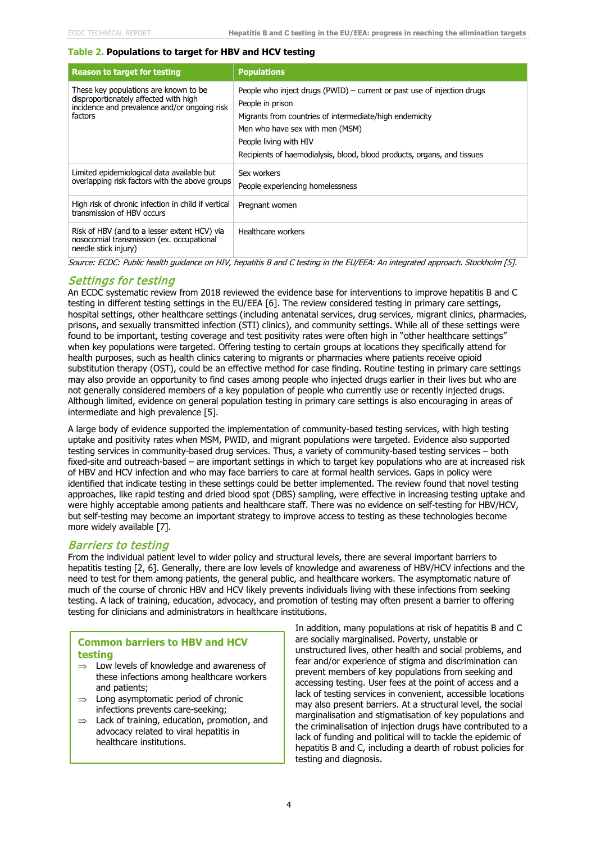#### **Table 2. Populations to target for HBV and HCV testing**

| <b>Reason to target for testing</b>                                                                                                       | <b>Populations</b>                                                                                                                                                                                                                                                                             |
|-------------------------------------------------------------------------------------------------------------------------------------------|------------------------------------------------------------------------------------------------------------------------------------------------------------------------------------------------------------------------------------------------------------------------------------------------|
| These key populations are known to be<br>disproportionately affected with high<br>incidence and prevalence and/or ongoing risk<br>factors | People who inject drugs (PWID) – current or past use of injection drugs<br>People in prison<br>Migrants from countries of intermediate/high endemicity<br>Men who have sex with men (MSM)<br>People living with HIV<br>Recipients of haemodialysis, blood, blood products, organs, and tissues |
| Limited epidemiological data available but<br>overlapping risk factors with the above groups                                              | Sex workers<br>People experiencing homelessness                                                                                                                                                                                                                                                |
| High risk of chronic infection in child if vertical<br>transmission of HBV occurs                                                         | Pregnant women                                                                                                                                                                                                                                                                                 |
| Risk of HBV (and to a lesser extent HCV) via<br>nosocomial transmission (ex. occupational<br>needle stick injury)                         | Healthcare workers                                                                                                                                                                                                                                                                             |

Source: ECDC: Public health guidance on HIV, hepatitis B and C testing in the EU/EEA: An integrated approach. Stockholm [5].

#### Settings for testing

An ECDC systematic review from 2018 reviewed the evidence base for interventions to improve hepatitis B and C testing in different testing settings in the EU/EEA [6]. The review considered testing in primary care settings, hospital settings, other healthcare settings (including antenatal services, drug services, migrant clinics, pharmacies, prisons, and sexually transmitted infection (STI) clinics), and community settings. While all of these settings were found to be important, testing coverage and test positivity rates were often high in "other healthcare settings" when key populations were targeted. Offering testing to certain groups at locations they specifically attend for health purposes, such as health clinics catering to migrants or pharmacies where patients receive opioid substitution therapy (OST), could be an effective method for case finding. Routine testing in primary care settings may also provide an opportunity to find cases among people who injected drugs earlier in their lives but who are not generally considered members of a key population of people who currently use or recently injected drugs. Although limited, evidence on general population testing in primary care settings is also encouraging in areas of intermediate and high prevalence [5].

A large body of evidence supported the implementation of community-based testing services, with high testing uptake and positivity rates when MSM, PWID, and migrant populations were targeted. Evidence also supported testing services in community-based drug services. Thus, a variety of community-based testing services – both fixed-site and outreach-based – are important settings in which to target key populations who are at increased risk of HBV and HCV infection and who may face barriers to care at formal health services. Gaps in policy were identified that indicate testing in these settings could be better implemented. The review found that novel testing approaches, like rapid testing and dried blood spot (DBS) sampling, were effective in increasing testing uptake and were highly acceptable among patients and healthcare staff. There was no evidence on self-testing for HBV/HCV, but self-testing may become an important strategy to improve access to testing as these technologies become more widely available [7].

## Barriers to testing

From the individual patient level to wider policy and structural levels, there are several important barriers to hepatitis testing [2, 6]. Generally, there are low levels of knowledge and awareness of HBV/HCV infections and the need to test for them among patients, the general public, and healthcare workers. The asymptomatic nature of much of the course of chronic HBV and HCV likely prevents individuals living with these infections from seeking testing. A lack of training, education, advocacy, and promotion of testing may often present a barrier to offering testing for clinicians and administrators in healthcare institutions.

### **Common barriers to HBV and HCV testing**

- $\Rightarrow$  Low levels of knowledge and awareness of these infections among healthcare workers and patients;
- $\Rightarrow$  Long asymptomatic period of chronic infections prevents care-seeking;
- $\Rightarrow$  Lack of training, education, promotion, and advocacy related to viral hepatitis in healthcare institutions.

In addition, many populations at risk of hepatitis B and C are socially marginalised. Poverty, unstable or unstructured lives, other health and social problems, and fear and/or experience of stigma and discrimination can prevent members of key populations from seeking and accessing testing. User fees at the point of access and a lack of testing services in convenient, accessible locations may also present barriers. At a structural level, the social marginalisation and stigmatisation of key populations and the criminalisation of injection drugs have contributed to a lack of funding and political will to tackle the epidemic of hepatitis B and C, including a dearth of robust policies for testing and diagnosis.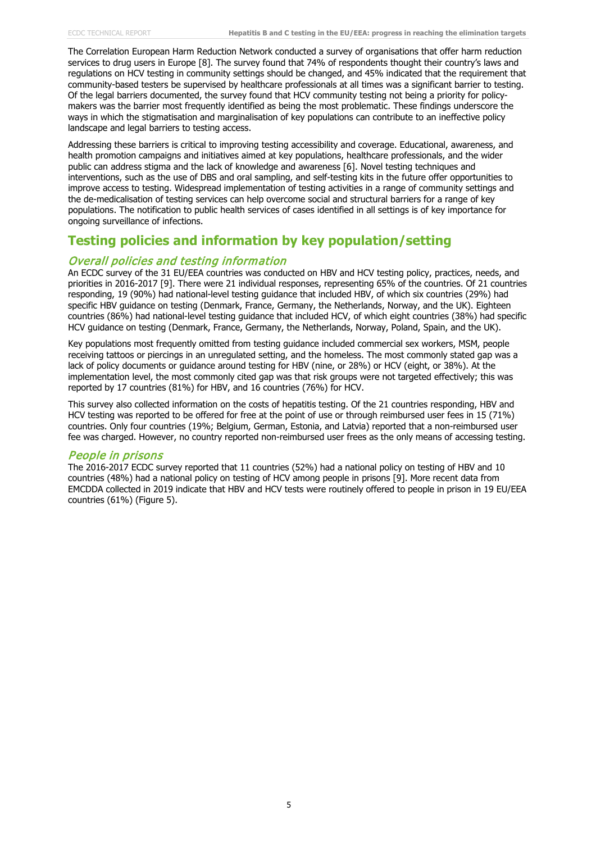The Correlation European Harm Reduction Network conducted a survey of organisations that offer harm reduction services to drug users in Europe [8]. The survey found that 74% of respondents thought their country's laws and regulations on HCV testing in community settings should be changed, and 45% indicated that the requirement that community-based testers be supervised by healthcare professionals at all times was a significant barrier to testing. Of the legal barriers documented, the survey found that HCV community testing not being a priority for policymakers was the barrier most frequently identified as being the most problematic. These findings underscore the ways in which the stigmatisation and marginalisation of key populations can contribute to an ineffective policy landscape and legal barriers to testing access.

Addressing these barriers is critical to improving testing accessibility and coverage. Educational, awareness, and health promotion campaigns and initiatives aimed at key populations, healthcare professionals, and the wider public can address stigma and the lack of knowledge and awareness [6]. Novel testing techniques and interventions, such as the use of DBS and oral sampling, and self-testing kits in the future offer opportunities to improve access to testing. Widespread implementation of testing activities in a range of community settings and the de-medicalisation of testing services can help overcome social and structural barriers for a range of key populations. The notification to public health services of cases identified in all settings is of key importance for ongoing surveillance of infections.

# **Testing policies and information by key population/setting**

# Overall policies and testing information

An ECDC survey of the 31 EU/EEA countries was conducted on HBV and HCV testing policy, practices, needs, and priorities in 2016-2017 [9]. There were 21 individual responses, representing 65% of the countries. Of 21 countries responding, 19 (90%) had national-level testing guidance that included HBV, of which six countries (29%) had specific HBV guidance on testing (Denmark, France, Germany, the Netherlands, Norway, and the UK). Eighteen countries (86%) had national-level testing guidance that included HCV, of which eight countries (38%) had specific HCV guidance on testing (Denmark, France, Germany, the Netherlands, Norway, Poland, Spain, and the UK).

Key populations most frequently omitted from testing guidance included commercial sex workers, MSM, people receiving tattoos or piercings in an unregulated setting, and the homeless. The most commonly stated gap was a lack of policy documents or guidance around testing for HBV (nine, or 28%) or HCV (eight, or 38%). At the implementation level, the most commonly cited gap was that risk groups were not targeted effectively; this was reported by 17 countries (81%) for HBV, and 16 countries (76%) for HCV.

This survey also collected information on the costs of hepatitis testing. Of the 21 countries responding, HBV and HCV testing was reported to be offered for free at the point of use or through reimbursed user fees in 15 (71%) countries. Only four countries (19%; Belgium, German, Estonia, and Latvia) reported that a non-reimbursed user fee was charged. However, no country reported non-reimbursed user frees as the only means of accessing testing.

### People in prisons

The 2016-2017 ECDC survey reported that 11 countries (52%) had a national policy on testing of HBV and 10 countries (48%) had a national policy on testing of HCV among people in prisons [9]. More recent data from EMCDDA collected in 2019 indicate that HBV and HCV tests were routinely offered to people in prison in 19 EU/EEA countries (61%) (Figure 5).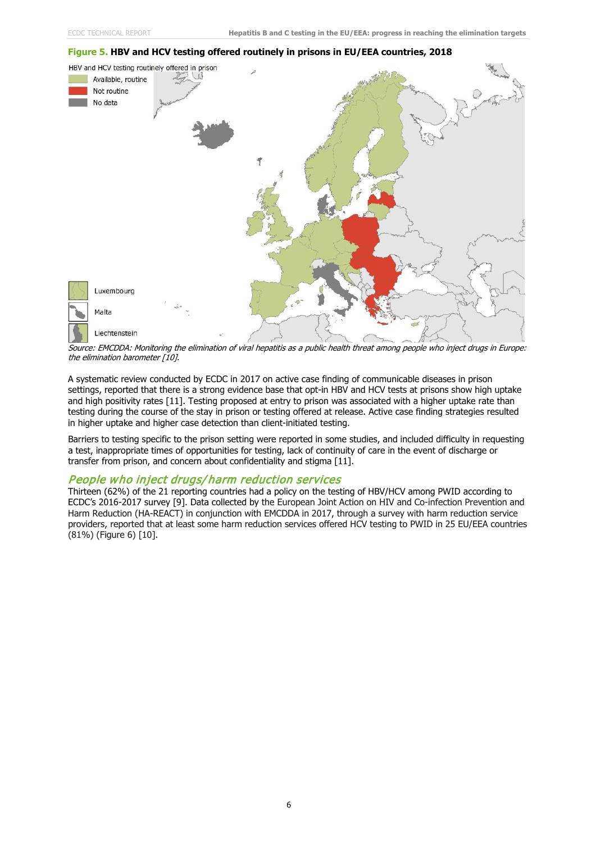

**Figure 5. HBV and HCV testing offered routinely in prisons in EU/EEA countries, 2018**

Source: EMCDDA: Monitoring the elimination of viral hepatitis as a public health threat among people who inject drugs in Europe: the elimination barometer [10].

A systematic review conducted by ECDC in 2017 on active case finding of communicable diseases in prison settings, reported that there is a strong evidence base that opt-in HBV and HCV tests at prisons show high uptake and high positivity rates [11]. Testing proposed at entry to prison was associated with a higher uptake rate than testing during the course of the stay in prison or testing offered at release. Active case finding strategies resulted in higher uptake and higher case detection than client-initiated testing.

Barriers to testing specific to the prison setting were reported in some studies, and included difficulty in requesting a test, inappropriate times of opportunities for testing, lack of continuity of care in the event of discharge or transfer from prison, and concern about confidentiality and stigma [11].

#### People who inject drugs/harm reduction services

Thirteen (62%) of the 21 reporting countries had a policy on the testing of HBV/HCV among PWID according to ECDC's 2016-2017 survey [9]. Data collected by the European Joint Action on HIV and Co-infection Prevention and Harm Reduction (HA-REACT) in conjunction with EMCDDA in 2017, through a survey with harm reduction service providers, reported that at least some harm reduction services offered HCV testing to PWID in 25 EU/EEA countries (81%) (Figure 6) [10].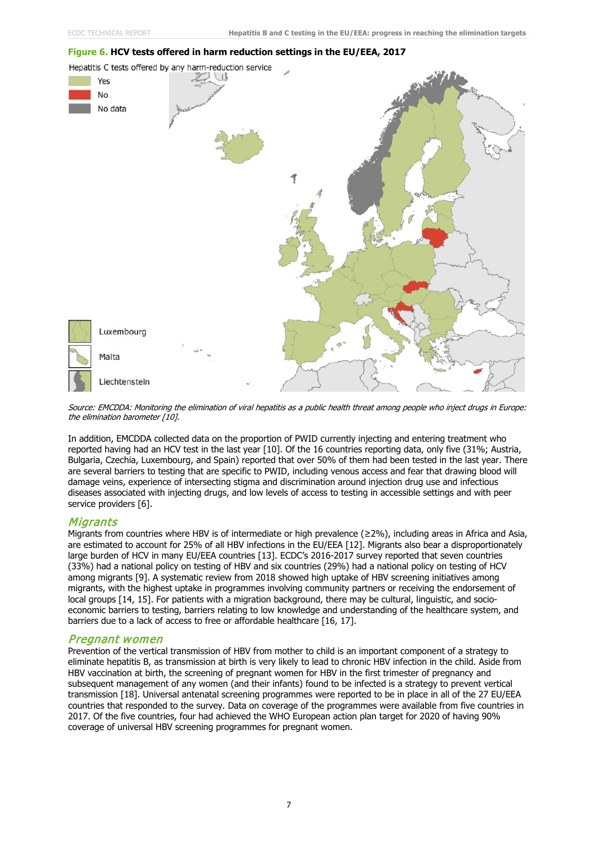



Source: EMCDDA: Monitoring the elimination of viral hepatitis as a public health threat among people who inject drugs in Europe: the elimination barometer [10].

In addition, EMCDDA collected data on the proportion of PWID currently injecting and entering treatment who reported having had an HCV test in the last year [10]. Of the 16 countries reporting data, only five (31%; Austria, Bulgaria, Czechia, Luxembourg, and Spain) reported that over 50% of them had been tested in the last year. There are several barriers to testing that are specific to PWID, including venous access and fear that drawing blood will damage veins, experience of intersecting stigma and discrimination around injection drug use and infectious diseases associated with injecting drugs, and low levels of access to testing in accessible settings and with peer service providers [6].

### Migrants

Migrants from countries where HBV is of intermediate or high prevalence (≥2%), including areas in Africa and Asia, are estimated to account for 25% of all HBV infections in the EU/EEA [12]. Migrants also bear a disproportionately large burden of HCV in many EU/EEA countries [13]. ECDC's 2016-2017 survey reported that seven countries (33%) had a national policy on testing of HBV and six countries (29%) had a national policy on testing of HCV among migrants [9]. A systematic review from 2018 showed high uptake of HBV screening initiatives among migrants, with the highest uptake in programmes involving community partners or receiving the endorsement of local groups [14, 15]. For patients with a migration background, there may be cultural, linguistic, and socioeconomic barriers to testing, barriers relating to low knowledge and understanding of the healthcare system, and barriers due to a lack of access to free or affordable healthcare [16, 17].

### Pregnant women

Prevention of the vertical transmission of HBV from mother to child is an important component of a strategy to eliminate hepatitis B, as transmission at birth is very likely to lead to chronic HBV infection in the child. Aside from HBV vaccination at birth, the screening of pregnant women for HBV in the first trimester of pregnancy and subsequent management of any women (and their infants) found to be infected is a strategy to prevent vertical transmission [18]. Universal antenatal screening programmes were reported to be in place in all of the 27 EU/EEA countries that responded to the survey. Data on coverage of the programmes were available from five countries in 2017. Of the five countries, four had achieved the WHO European action plan target for 2020 of having 90% coverage of universal HBV screening programmes for pregnant women.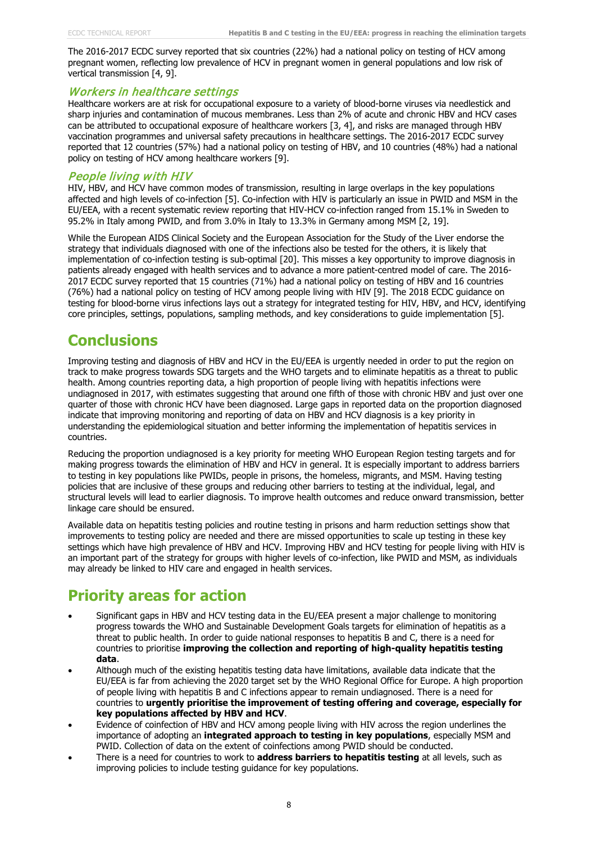The 2016-2017 ECDC survey reported that six countries (22%) had a national policy on testing of HCV among pregnant women, reflecting low prevalence of HCV in pregnant women in general populations and low risk of vertical transmission [4, 9].

## Workers in healthcare settings

Healthcare workers are at risk for occupational exposure to a variety of blood-borne viruses via needlestick and sharp injuries and contamination of mucous membranes. Less than 2% of acute and chronic HBV and HCV cases can be attributed to occupational exposure of healthcare workers [3, 4], and risks are managed through HBV vaccination programmes and universal safety precautions in healthcare settings. The 2016-2017 ECDC survey reported that 12 countries (57%) had a national policy on testing of HBV, and 10 countries (48%) had a national policy on testing of HCV among healthcare workers [9].

# People living with HIV

HIV, HBV, and HCV have common modes of transmission, resulting in large overlaps in the key populations affected and high levels of co-infection [5]. Co-infection with HIV is particularly an issue in PWID and MSM in the EU/EEA, with a recent systematic review reporting that HIV-HCV co-infection ranged from 15.1% in Sweden to 95.2% in Italy among PWID, and from 3.0% in Italy to 13.3% in Germany among MSM [2, 19].

While the European AIDS Clinical Society and the European Association for the Study of the Liver endorse the strategy that individuals diagnosed with one of the infections also be tested for the others, it is likely that implementation of co-infection testing is sub-optimal [20]. This misses a key opportunity to improve diagnosis in patients already engaged with health services and to advance a more patient-centred model of care. The 2016- 2017 ECDC survey reported that 15 countries (71%) had a national policy on testing of HBV and 16 countries (76%) had a national policy on testing of HCV among people living with HIV [9]. The 2018 ECDC guidance on testing for blood-borne virus infections lays out a strategy for integrated testing for HIV, HBV, and HCV, identifying core principles, settings, populations, sampling methods, and key considerations to guide implementation [5].

# **Conclusions**

Improving testing and diagnosis of HBV and HCV in the EU/EEA is urgently needed in order to put the region on track to make progress towards SDG targets and the WHO targets and to eliminate hepatitis as a threat to public health. Among countries reporting data, a high proportion of people living with hepatitis infections were undiagnosed in 2017, with estimates suggesting that around one fifth of those with chronic HBV and just over one quarter of those with chronic HCV have been diagnosed. Large gaps in reported data on the proportion diagnosed indicate that improving monitoring and reporting of data on HBV and HCV diagnosis is a key priority in understanding the epidemiological situation and better informing the implementation of hepatitis services in countries.

Reducing the proportion undiagnosed is a key priority for meeting WHO European Region testing targets and for making progress towards the elimination of HBV and HCV in general. It is especially important to address barriers to testing in key populations like PWIDs, people in prisons, the homeless, migrants, and MSM. Having testing policies that are inclusive of these groups and reducing other barriers to testing at the individual, legal, and structural levels will lead to earlier diagnosis. To improve health outcomes and reduce onward transmission, better linkage care should be ensured.

Available data on hepatitis testing policies and routine testing in prisons and harm reduction settings show that improvements to testing policy are needed and there are missed opportunities to scale up testing in these key settings which have high prevalence of HBV and HCV. Improving HBV and HCV testing for people living with HIV is an important part of the strategy for groups with higher levels of co-infection, like PWID and MSM, as individuals may already be linked to HIV care and engaged in health services.

# **Priority areas for action**

- Significant gaps in HBV and HCV testing data in the EU/EEA present a major challenge to monitoring progress towards the WHO and Sustainable Development Goals targets for elimination of hepatitis as a threat to public health. In order to guide national responses to hepatitis B and C, there is a need for countries to prioritise **improving the collection and reporting of high-quality hepatitis testing data**.
- Although much of the existing hepatitis testing data have limitations, available data indicate that the EU/EEA is far from achieving the 2020 target set by the WHO Regional Office for Europe. A high proportion of people living with hepatitis B and C infections appear to remain undiagnosed. There is a need for countries to **urgently prioritise the improvement of testing offering and coverage, especially for key populations affected by HBV and HCV**.
- Evidence of coinfection of HBV and HCV among people living with HIV across the region underlines the importance of adopting an **integrated approach to testing in key populations**, especially MSM and PWID. Collection of data on the extent of coinfections among PWID should be conducted.
- There is a need for countries to work to **address barriers to hepatitis testing** at all levels, such as improving policies to include testing guidance for key populations.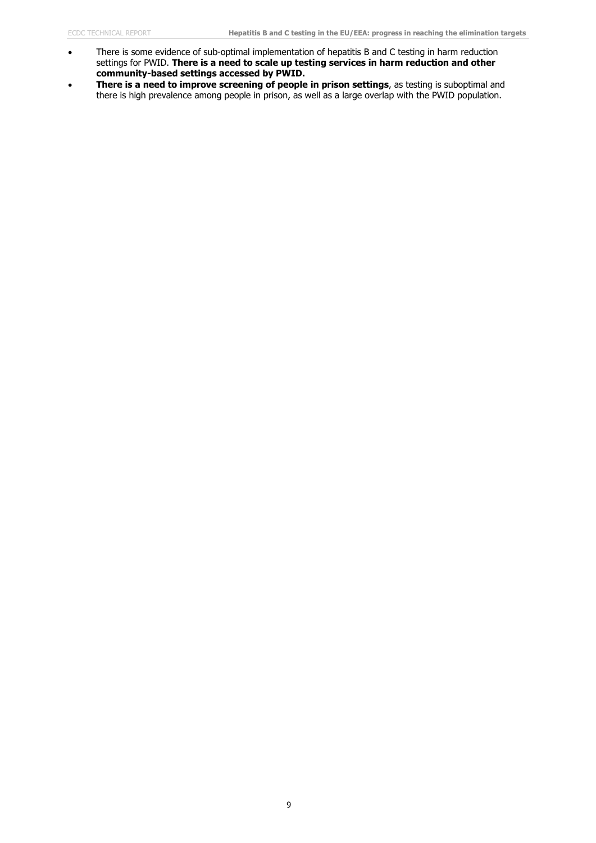- There is some evidence of sub-optimal implementation of hepatitis B and C testing in harm reduction settings for PWID. **There is a need to scale up testing services in harm reduction and other community-based settings accessed by PWID.**
- **There is a need to improve screening of people in prison settings**, as testing is suboptimal and there is high prevalence among people in prison, as well as a large overlap with the PWID population.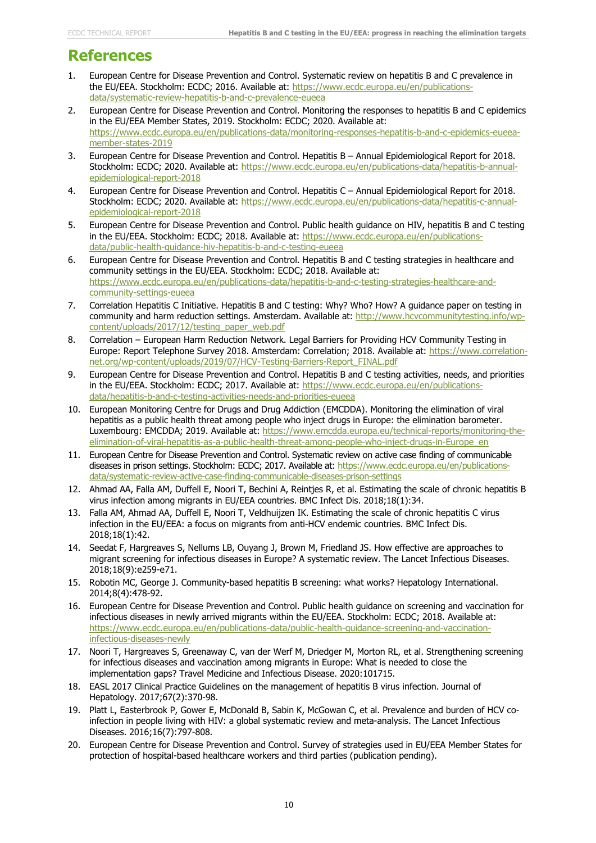# **References**

- 1. European Centre for Disease Prevention and Control. Systematic review on hepatitis B and C prevalence in the EU/EEA. Stockholm: ECDC; 2016. Available at: [https://www.ecdc.europa.eu/en/publications](https://www.ecdc.europa.eu/en/publications-data/systematic-review-hepatitis-b-and-c-prevalence-eueea)[data/systematic-review-hepatitis-b-and-c-prevalence-eueea](https://www.ecdc.europa.eu/en/publications-data/systematic-review-hepatitis-b-and-c-prevalence-eueea)
- 2. European Centre for Disease Prevention and Control. Monitoring the responses to hepatitis B and C epidemics in the EU/EEA Member States, 2019. Stockholm: ECDC; 2020. Available at: [https://www.ecdc.europa.eu/en/publications-data/monitoring-responses-hepatitis-b-and-c-epidemics-eueea](https://www.ecdc.europa.eu/en/publications-data/monitoring-responses-hepatitis-b-and-c-epidemics-eueea-member-states-2019)[member-states-2019](https://www.ecdc.europa.eu/en/publications-data/monitoring-responses-hepatitis-b-and-c-epidemics-eueea-member-states-2019)
- 3. European Centre for Disease Prevention and Control. Hepatitis B Annual Epidemiological Report for 2018. Stockholm: ECDC; 2020. Available at: [https://www.ecdc.europa.eu/en/publications-data/hepatitis-b-annual](https://www.ecdc.europa.eu/en/publications-data/hepatitis-b-annual-epidemiological-report-2018)[epidemiological-report-2018](https://www.ecdc.europa.eu/en/publications-data/hepatitis-b-annual-epidemiological-report-2018)
- 4. European Centre for Disease Prevention and Control. Hepatitis C Annual Epidemiological Report for 2018. Stockholm: ECDC; 2020. Available at: [https://www.ecdc.europa.eu/en/publications-data/hepatitis-c-annual](https://www.ecdc.europa.eu/en/publications-data/hepatitis-c-annual-epidemiological-report-2018)[epidemiological-report-2018](https://www.ecdc.europa.eu/en/publications-data/hepatitis-c-annual-epidemiological-report-2018)
- 5. European Centre for Disease Prevention and Control. Public health guidance on HIV, hepatitis B and C testing in the EU/EEA. Stockholm: ECDC; 2018. Available at: [https://www.ecdc.europa.eu/en/publications](https://www.ecdc.europa.eu/en/publications-data/public-health-guidance-hiv-hepatitis-b-and-c-testing-eueea)[data/public-health-guidance-hiv-hepatitis-b-and-c-testing-eueea](https://www.ecdc.europa.eu/en/publications-data/public-health-guidance-hiv-hepatitis-b-and-c-testing-eueea)
- 6. European Centre for Disease Prevention and Control. Hepatitis B and C testing strategies in healthcare and community settings in the EU/EEA. Stockholm: ECDC; 2018. Available at: [https://www.ecdc.europa.eu/en/publications-data/hepatitis-b-and-c-testing-strategies-healthcare-and](https://www.ecdc.europa.eu/en/publications-data/hepatitis-b-and-c-testing-strategies-healthcare-and-community-settings-eueea)[community-settings-eueea](https://www.ecdc.europa.eu/en/publications-data/hepatitis-b-and-c-testing-strategies-healthcare-and-community-settings-eueea)
- 7. Correlation Hepatitis C Initiative. Hepatitis B and C testing: Why? Who? How? A guidance paper on testing in community and harm reduction settings. Amsterdam. Available at: [http://www.hcvcommunitytesting.info/wp](http://www.hcvcommunitytesting.info/wp-content/uploads/2017/12/testing_paper_web.pdf)content/uploads/2017/12/testing\_paper\_web.pdf
- 8. Correlation European Harm Reduction Network. Legal Barriers for Providing HCV Community Testing in Europe: Report Telephone Survey 2018. Amsterdam: Correlation; 2018. Available at: [https://www.correlation](https://www.correlation-net.org/wp-content/uploads/2019/07/HCV-Testing-Barriers-Report_FINAL.pdf)[net.org/wp-content/uploads/2019/07/HCV-Testing-Barriers-Report\\_FINAL.pdf](https://www.correlation-net.org/wp-content/uploads/2019/07/HCV-Testing-Barriers-Report_FINAL.pdf)
- 9. European Centre for Disease Prevention and Control. Hepatitis B and C testing activities, needs, and priorities in the EU/EEA. Stockholm: ECDC; 2017. Available at: [https://www.ecdc.europa.eu/en/publications](https://www.ecdc.europa.eu/en/publications-data/hepatitis-b-and-c-testing-activities-needs-and-priorities-eueea)[data/hepatitis-b-and-c-testing-activities-needs-and-priorities-eueea](https://www.ecdc.europa.eu/en/publications-data/hepatitis-b-and-c-testing-activities-needs-and-priorities-eueea)
- 10. European Monitoring Centre for Drugs and Drug Addiction (EMCDDA). Monitoring the elimination of viral hepatitis as a public health threat among people who inject drugs in Europe: the elimination barometer. Luxembourg: EMCDDA; 2019. Available at: [https://www.emcdda.europa.eu/technical-reports/monitoring-the](https://www.emcdda.europa.eu/technical-reports/monitoring-the-elimination-of-viral-hepatitis-as-a-public-health-threat-among-people-who-inject-drugs-in-Europe_en)[elimination-of-viral-hepatitis-as-a-public-health-threat-among-people-who-inject-drugs-in-Europe\\_en](https://www.emcdda.europa.eu/technical-reports/monitoring-the-elimination-of-viral-hepatitis-as-a-public-health-threat-among-people-who-inject-drugs-in-Europe_en)
- 11. European Centre for Disease Prevention and Control. Systematic review on active case finding of communicable diseases in prison settings. Stockholm: ECDC; 2017. Available at: [https://www.ecdc.europa.eu/en/publications](https://www.ecdc.europa.eu/en/publications-data/systematic-review-active-case-finding-communicable-diseases-prison-settings)[data/systematic-review-active-case-finding-communicable-diseases-prison-settings](https://www.ecdc.europa.eu/en/publications-data/systematic-review-active-case-finding-communicable-diseases-prison-settings)
- 12. Ahmad AA, Falla AM, Duffell E, Noori T, Bechini A, Reintjes R, et al. Estimating the scale of chronic hepatitis B virus infection among migrants in EU/EEA countries. BMC Infect Dis. 2018;18(1):34.
- 13. Falla AM, Ahmad AA, Duffell E, Noori T, Veldhuijzen IK. Estimating the scale of chronic hepatitis C virus infection in the EU/EEA: a focus on migrants from anti-HCV endemic countries. BMC Infect Dis. 2018;18(1):42.
- 14. Seedat F, Hargreaves S, Nellums LB, Ouyang J, Brown M, Friedland JS. How effective are approaches to migrant screening for infectious diseases in Europe? A systematic review. The Lancet Infectious Diseases. 2018;18(9):e259-e71.
- 15. Robotin MC, George J. Community-based hepatitis B screening: what works? Hepatology International. 2014;8(4):478-92.
- 16. European Centre for Disease Prevention and Control. Public health guidance on screening and vaccination for infectious diseases in newly arrived migrants within the EU/EEA. Stockholm: ECDC; 2018. Available at: [https://www.ecdc.europa.eu/en/publications-data/public-health-guidance-screening-and-vaccination](https://www.ecdc.europa.eu/en/publications-data/public-health-guidance-screening-and-vaccination-infectious-diseases-newly)[infectious-diseases-newly](https://www.ecdc.europa.eu/en/publications-data/public-health-guidance-screening-and-vaccination-infectious-diseases-newly)
- 17. Noori T, Hargreaves S, Greenaway C, van der Werf M, Driedger M, Morton RL, et al. Strengthening screening for infectious diseases and vaccination among migrants in Europe: What is needed to close the implementation gaps? Travel Medicine and Infectious Disease. 2020:101715.
- 18. EASL 2017 Clinical Practice Guidelines on the management of hepatitis B virus infection. Journal of Hepatology. 2017;67(2):370-98.
- 19. Platt L, Easterbrook P, Gower E, McDonald B, Sabin K, McGowan C, et al. Prevalence and burden of HCV coinfection in people living with HIV: a global systematic review and meta-analysis. The Lancet Infectious Diseases. 2016;16(7):797-808.
- 20. European Centre for Disease Prevention and Control. Survey of strategies used in EU/EEA Member States for protection of hospital-based healthcare workers and third parties (publication pending).